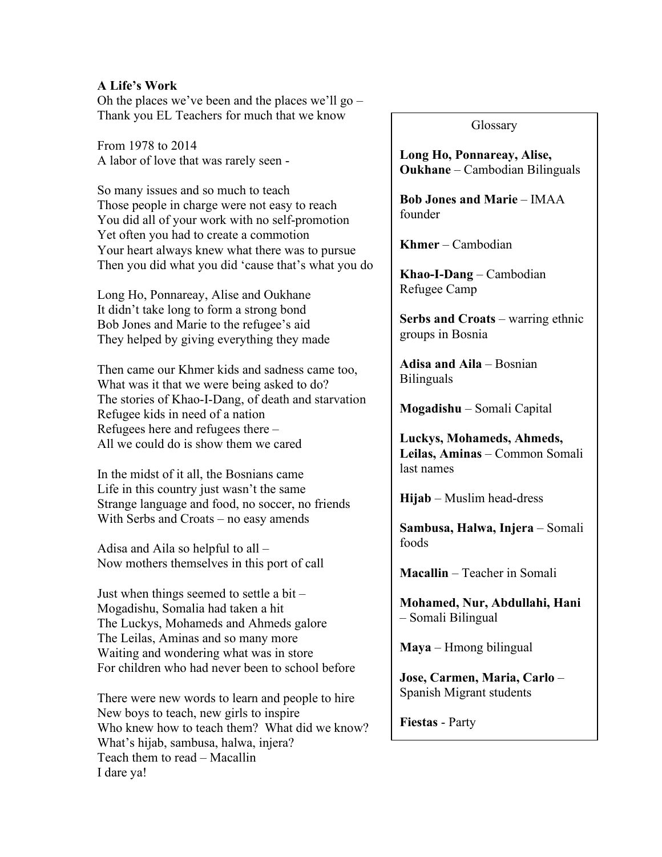## **A Life's Work**

Oh the places we've been and the places we'll go – Thank you EL Teachers for much that we know

From 1978 to 2014 A labor of love that was rarely seen -

So many issues and so much to teach Those people in charge were not easy to reach You did all of your work with no self-promotion Yet often you had to create a commotion Your heart always knew what there was to pursue Then you did what you did 'cause that's what you do

Long Ho, Ponnareay, Alise and Oukhane It didn't take long to form a strong bond Bob Jones and Marie to the refugee's aid They helped by giving everything they made

Then came our Khmer kids and sadness came too, What was it that we were being asked to do? The stories of Khao-I-Dang, of death and starvation Refugee kids in need of a nation Refugees here and refugees there – All we could do is show them we cared

In the midst of it all, the Bosnians came Life in this country just wasn't the same Strange language and food, no soccer, no friends With Serbs and Croats – no easy amends

Adisa and Aila so helpful to all – Now mothers themselves in this port of call

Just when things seemed to settle a bit – Mogadishu, Somalia had taken a hit The Luckys, Mohameds and Ahmeds galore The Leilas, Aminas and so many more Waiting and wondering what was in store For children who had never been to school before

There were new words to learn and people to hire New boys to teach, new girls to inspire Who knew how to teach them? What did we know? What's hijab, sambusa, halwa, injera? Teach them to read – Macallin I dare ya!

Glossary

**Long Ho, Ponnareay, Alise, Oukhane** – Cambodian Bilinguals

**Bob Jones and Marie** – IMAA founder

**Khmer** – Cambodian

**Khao-I-Dang** – Cambodian Refugee Camp

**Serbs and Croats** – warring ethnic groups in Bosnia

**Adisa and Aila** – Bosnian Bilinguals

**Mogadishu** – Somali Capital

**Luckys, Mohameds, Ahmeds, Leilas, Aminas** – Common Somali last names

**Hijab** – Muslim head-dress

**Sambusa, Halwa, Injera** – Somali foods

**Macallin** – Teacher in Somali

**Mohamed, Nur, Abdullahi, Hani** – Somali Bilingual

**Maya** – Hmong bilingual

**Jose, Carmen, Maria, Carlo** – Spanish Migrant students

**Fiestas** - Party